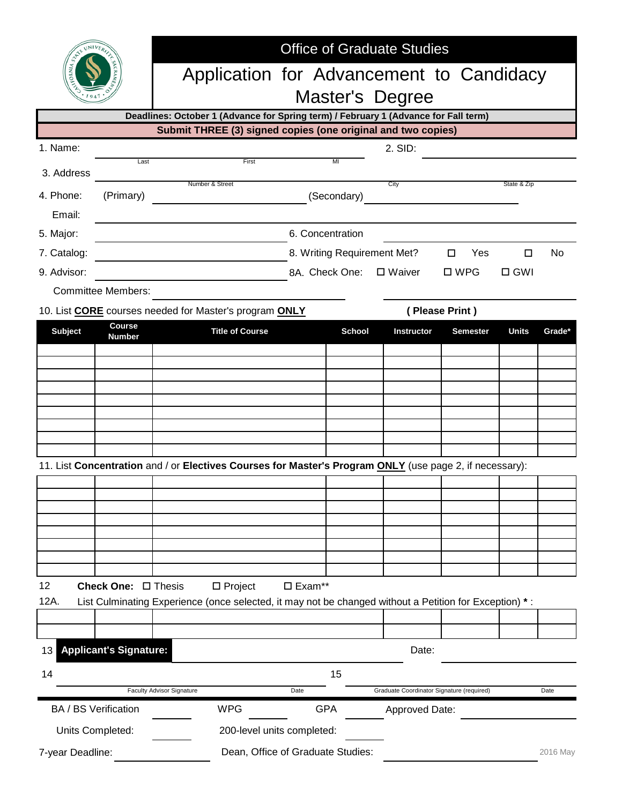|                             |                               | <b>Office of Graduate Studies</b>                                                                      |                                                                                                         |                  |               |                                           |                 |              |        |  |  |
|-----------------------------|-------------------------------|--------------------------------------------------------------------------------------------------------|---------------------------------------------------------------------------------------------------------|------------------|---------------|-------------------------------------------|-----------------|--------------|--------|--|--|
|                             |                               | Application for Advancement to Candidacy                                                               |                                                                                                         |                  |               |                                           |                 |              |        |  |  |
|                             |                               | Master's Degree<br>Deadlines: October 1 (Advance for Spring term) / February 1 (Advance for Fall term) |                                                                                                         |                  |               |                                           |                 |              |        |  |  |
|                             |                               |                                                                                                        | Submit THREE (3) signed copies (one original and two copies)                                            |                  |               |                                           |                 |              |        |  |  |
| 1. Name:                    |                               |                                                                                                        |                                                                                                         |                  |               | 2. SID:                                   |                 |              |        |  |  |
| 3. Address                  | Last                          |                                                                                                        | First                                                                                                   |                  | ΜГ            |                                           |                 |              |        |  |  |
| 4. Phone:                   | (Primary)                     |                                                                                                        | Number & Street                                                                                         |                  | (Secondary)   | City                                      |                 | State & Zip  |        |  |  |
| Email:<br>5. Major:         |                               | 6. Concentration                                                                                       |                                                                                                         |                  |               |                                           |                 |              |        |  |  |
| 7. Catalog:                 |                               | 8. Writing Requirement Met?<br>Yes<br>$\Box$                                                           |                                                                                                         |                  |               |                                           |                 | □            | No     |  |  |
| 9. Advisor:                 |                               | 8A. Check One: □ Waiver                                                                                |                                                                                                         |                  |               |                                           | $\square$ WPG   | $\Box$ GWI   |        |  |  |
|                             | <b>Committee Members:</b>     |                                                                                                        |                                                                                                         |                  |               |                                           |                 |              |        |  |  |
|                             |                               | 10. List <b>CORE</b> courses needed for Master's program ONLY                                          |                                                                                                         |                  |               | (Please Print)                            |                 |              |        |  |  |
| <b>Subject</b>              | <b>Course</b>                 |                                                                                                        | <b>Title of Course</b>                                                                                  |                  | <b>School</b> | <b>Instructor</b>                         | <b>Semester</b> | <b>Units</b> | Grade* |  |  |
|                             | <b>Number</b>                 |                                                                                                        |                                                                                                         |                  |               |                                           |                 |              |        |  |  |
|                             |                               |                                                                                                        |                                                                                                         |                  |               |                                           |                 |              |        |  |  |
|                             |                               |                                                                                                        |                                                                                                         |                  |               |                                           |                 |              |        |  |  |
|                             |                               |                                                                                                        |                                                                                                         |                  |               |                                           |                 |              |        |  |  |
|                             |                               |                                                                                                        |                                                                                                         |                  |               |                                           |                 |              |        |  |  |
|                             |                               |                                                                                                        |                                                                                                         |                  |               |                                           |                 |              |        |  |  |
|                             |                               |                                                                                                        | 11. List Concentration and / or Electives Courses for Master's Program ONLY (use page 2, if necessary): |                  |               |                                           |                 |              |        |  |  |
|                             |                               |                                                                                                        |                                                                                                         |                  |               |                                           |                 |              |        |  |  |
|                             |                               |                                                                                                        |                                                                                                         |                  |               |                                           |                 |              |        |  |  |
|                             |                               |                                                                                                        |                                                                                                         |                  |               |                                           |                 |              |        |  |  |
|                             |                               |                                                                                                        |                                                                                                         |                  |               |                                           |                 |              |        |  |  |
|                             |                               |                                                                                                        |                                                                                                         |                  |               |                                           |                 |              |        |  |  |
|                             |                               |                                                                                                        |                                                                                                         |                  |               |                                           |                 |              |        |  |  |
| 12                          | Check One: □ Thesis           |                                                                                                        | $\square$ Project                                                                                       | $\square$ Exam** |               |                                           |                 |              |        |  |  |
| 12A.                        |                               |                                                                                                        | List Culminating Experience (once selected, it may not be changed without a Petition for Exception) *:  |                  |               |                                           |                 |              |        |  |  |
|                             |                               |                                                                                                        |                                                                                                         |                  |               |                                           |                 |              |        |  |  |
| 13                          | <b>Applicant's Signature:</b> |                                                                                                        |                                                                                                         |                  |               | Date:                                     |                 |              |        |  |  |
| 14                          |                               |                                                                                                        |                                                                                                         |                  | 15            |                                           |                 |              |        |  |  |
|                             |                               | <b>Faculty Advisor Signature</b>                                                                       |                                                                                                         | Date             |               | Graduate Coordinator Signature (required) |                 |              | Date   |  |  |
| <b>BA / BS Verification</b> |                               |                                                                                                        | <b>WPG</b>                                                                                              |                  | <b>GPA</b>    | <b>Approved Date:</b>                     |                 |              |        |  |  |
| Units Completed:            |                               |                                                                                                        | 200-level units completed:                                                                              |                  |               |                                           |                 |              |        |  |  |
| 7-year Deadline:            |                               | Dean, Office of Graduate Studies:                                                                      |                                                                                                         |                  |               |                                           |                 | 2016 May     |        |  |  |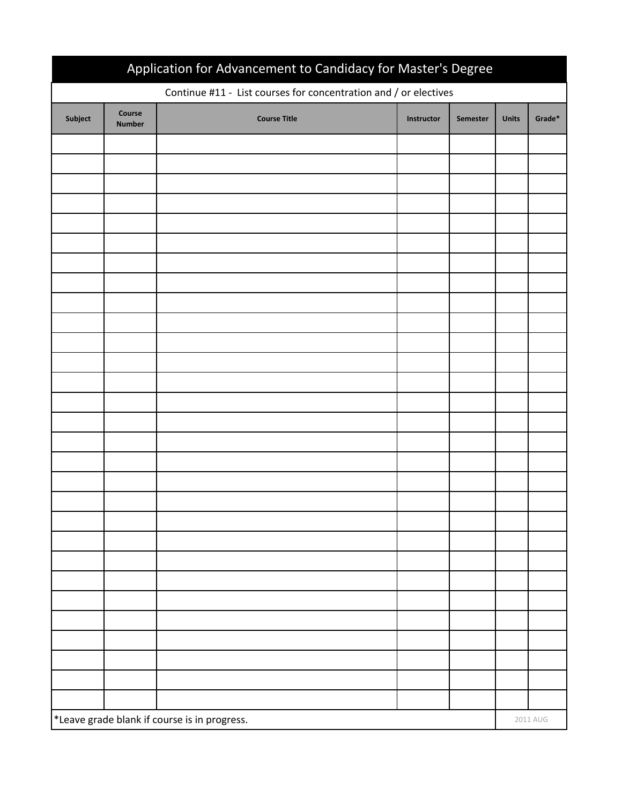| Application for Advancement to Candidacy for Master's Degree     |                         |                     |            |                 |              |        |  |  |  |  |  |  |
|------------------------------------------------------------------|-------------------------|---------------------|------------|-----------------|--------------|--------|--|--|--|--|--|--|
| Continue #11 - List courses for concentration and / or electives |                         |                     |            |                 |              |        |  |  |  |  |  |  |
| Subject                                                          | Course<br><b>Number</b> | <b>Course Title</b> | Instructor | <b>Semester</b> | <b>Units</b> | Grade* |  |  |  |  |  |  |
|                                                                  |                         |                     |            |                 |              |        |  |  |  |  |  |  |
|                                                                  |                         |                     |            |                 |              |        |  |  |  |  |  |  |
|                                                                  |                         |                     |            |                 |              |        |  |  |  |  |  |  |
|                                                                  |                         |                     |            |                 |              |        |  |  |  |  |  |  |
|                                                                  |                         |                     |            |                 |              |        |  |  |  |  |  |  |
|                                                                  |                         |                     |            |                 |              |        |  |  |  |  |  |  |
|                                                                  |                         |                     |            |                 |              |        |  |  |  |  |  |  |
|                                                                  |                         |                     |            |                 |              |        |  |  |  |  |  |  |
|                                                                  |                         |                     |            |                 |              |        |  |  |  |  |  |  |
|                                                                  |                         |                     |            |                 |              |        |  |  |  |  |  |  |
|                                                                  |                         |                     |            |                 |              |        |  |  |  |  |  |  |
|                                                                  |                         |                     |            |                 |              |        |  |  |  |  |  |  |
|                                                                  |                         |                     |            |                 |              |        |  |  |  |  |  |  |
|                                                                  |                         |                     |            |                 |              |        |  |  |  |  |  |  |
|                                                                  |                         |                     |            |                 |              |        |  |  |  |  |  |  |
|                                                                  |                         |                     |            |                 |              |        |  |  |  |  |  |  |
|                                                                  |                         |                     |            |                 |              |        |  |  |  |  |  |  |
|                                                                  |                         |                     |            |                 |              |        |  |  |  |  |  |  |
|                                                                  |                         |                     |            |                 |              |        |  |  |  |  |  |  |
|                                                                  |                         |                     |            |                 |              |        |  |  |  |  |  |  |
|                                                                  |                         |                     |            |                 |              |        |  |  |  |  |  |  |
|                                                                  |                         |                     |            |                 |              |        |  |  |  |  |  |  |
|                                                                  |                         |                     |            |                 |              |        |  |  |  |  |  |  |
|                                                                  |                         |                     |            |                 |              |        |  |  |  |  |  |  |
|                                                                  |                         |                     |            |                 |              |        |  |  |  |  |  |  |
|                                                                  |                         |                     |            |                 |              |        |  |  |  |  |  |  |
|                                                                  |                         |                     |            |                 |              |        |  |  |  |  |  |  |
|                                                                  |                         |                     |            |                 |              |        |  |  |  |  |  |  |
| *Leave grade blank if course is in progress.                     |                         |                     |            |                 |              |        |  |  |  |  |  |  |